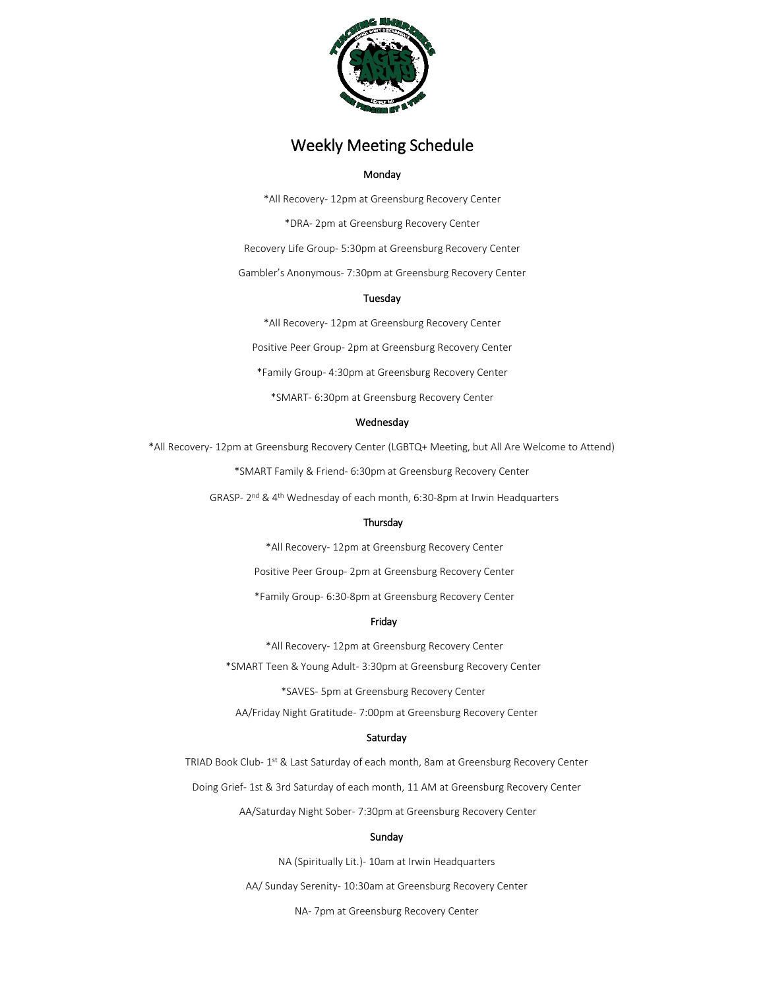

# Weekly Meeting Schedule

# Monday

\*All Recovery- 12pm at Greensburg Recovery Center \*DRA- 2pm at Greensburg Recovery Center Recovery Life Group- 5:30pm at Greensburg Recovery Center

Gambler's Anonymous- 7:30pm at Greensburg Recovery Center

## Tuesday

\*All Recovery- 12pm at Greensburg Recovery Center Positive Peer Group- 2pm at Greensburg Recovery Center \*Family Group- 4:30pm at Greensburg Recovery Center \*SMART- 6:30pm at Greensburg Recovery Center

## Wednesday

\*All Recovery- 12pm at Greensburg Recovery Center (LGBTQ+ Meeting, but All Are Welcome to Attend)

\*SMART Family & Friend- 6:30pm at Greensburg Recovery Center

GRASP- 2nd & 4th Wednesday of each month, 6:30-8pm at Irwin Headquarters

# Thursday

\*All Recovery- 12pm at Greensburg Recovery Center

Positive Peer Group- 2pm at Greensburg Recovery Center

\*Family Group- 6:30-8pm at Greensburg Recovery Center

## Friday

\*All Recovery- 12pm at Greensburg Recovery Center \*SMART Teen & Young Adult- 3:30pm at Greensburg Recovery Center

\*SAVES- 5pm at Greensburg Recovery Center

AA/Friday Night Gratitude- 7:00pm at Greensburg Recovery Center

# Saturday

TRIAD Book Club- 1<sup>st</sup> & Last Saturday of each month, 8am at Greensburg Recovery Center

Doing Grief- 1st & 3rd Saturday of each month, 11 AM at Greensburg Recovery Center

AA/Saturday Night Sober- 7:30pm at Greensburg Recovery Center

## Sunday

NA (Spiritually Lit.)- 10am at Irwin Headquarters

AA/ Sunday Serenity- 10:30am at Greensburg Recovery Center

NA- 7pm at Greensburg Recovery Center